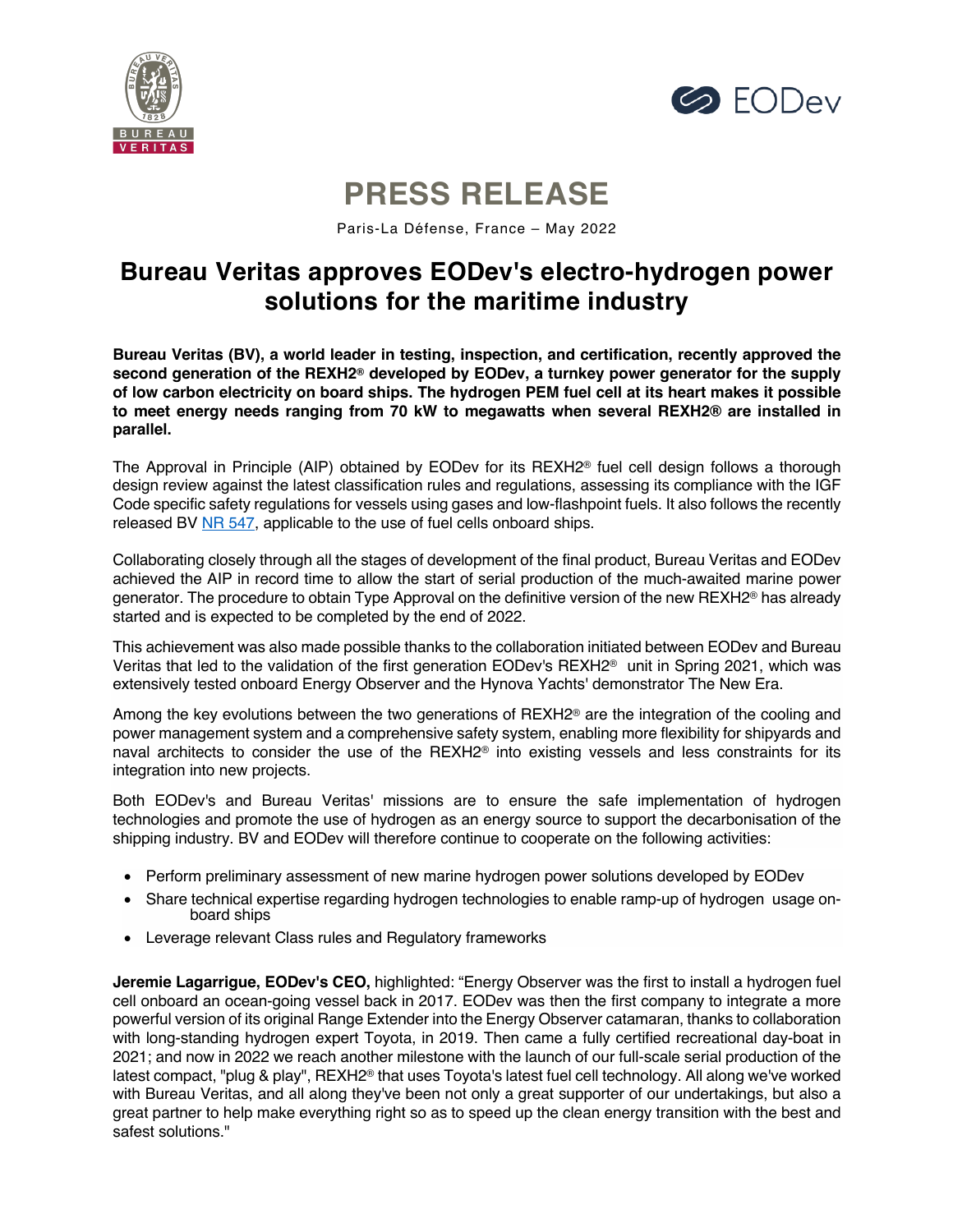



# **PRESS RELEASE**

Paris-La Défense, France – May 2022

# **Bureau Veritas approves EODev's electro-hydrogen power solutions for the maritime industry**

**Bureau Veritas (BV), a world leader in testing, inspection, and certification, recently approved the second generation of the REXH2® developed by EODev, a turnkey power generator for the supply of low carbon electricity on board ships. The hydrogen PEM fuel cell at its heart makes it possible to meet energy needs ranging from 70 kW to megawatts when several REXH2® are installed in parallel.**

The Approval in Principle (AIP) obtained by EODev for its REXH2® fuel cell design follows a thorough design review against the latest classification rules and regulations, assessing its compliance with the IGF Code specific safety regulations for vessels using gases and low-flashpoint fuels. It also follows the recently released BV NR 547, applicable to the use of fuel cells onboard ships.

Collaborating closely through all the stages of development of the final product, Bureau Veritas and EODev achieved the AIP in record time to allow the start of serial production of the much-awaited marine power generator. The procedure to obtain Type Approval on the definitive version of the new REXH2® has already started and is expected to be completed by the end of 2022.

This achievement was also made possible thanks to the collaboration initiated between EODev and Bureau Veritas that led to the validation of the first generation EODev's REXH2® unit in Spring 2021, which was extensively tested onboard Energy Observer and the Hynova Yachts' demonstrator The New Era.

Among the key evolutions between the two generations of REXH2<sup>®</sup> are the integration of the cooling and power management system and a comprehensive safety system, enabling more flexibility for shipyards and naval architects to consider the use of the REXH2® into existing vessels and less constraints for its integration into new projects.

Both EODev's and Bureau Veritas' missions are to ensure the safe implementation of hydrogen technologies and promote the use of hydrogen as an energy source to support the decarbonisation of the shipping industry. BV and EODev will therefore continue to cooperate on the following activities:

- Perform preliminary assessment of new marine hydrogen power solutions developed by EODev
- Share technical expertise regarding hydrogen technologies to enable ramp-up of hydrogen usage onboard ships
- Leverage relevant Class rules and Regulatory frameworks

**Jeremie Lagarrigue, EODev's CEO,** highlighted: "Energy Observer was the first to install a hydrogen fuel cell onboard an ocean-going vessel back in 2017. EODev was then the first company to integrate a more powerful version of its original Range Extender into the Energy Observer catamaran, thanks to collaboration with long-standing hydrogen expert Toyota, in 2019. Then came a fully certified recreational day-boat in 2021; and now in 2022 we reach another milestone with the launch of our full-scale serial production of the latest compact, "plug & play", REXH2® that uses Toyota's latest fuel cell technology. All along we've worked with Bureau Veritas, and all along they've been not only a great supporter of our undertakings, but also a great partner to help make everything right so as to speed up the clean energy transition with the best and safest solutions."